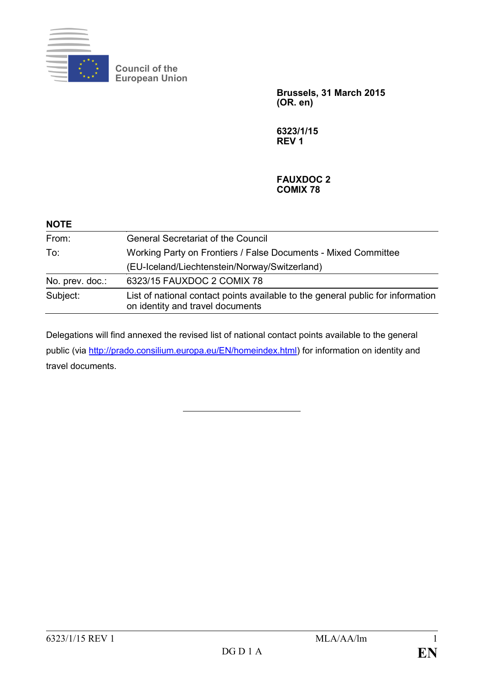

**Council of the European Union**

> **Brussels, 31 March 2015 (OR. en)**

**6323/1/15 REV 1**

## **FAUXDOC 2 COMIX 78**

| <b>NOTE</b>     |                                                                                                                     |
|-----------------|---------------------------------------------------------------------------------------------------------------------|
| From:           | <b>General Secretariat of the Council</b>                                                                           |
| To:             | Working Party on Frontiers / False Documents - Mixed Committee                                                      |
|                 | (EU-Iceland/Liechtenstein/Norway/Switzerland)                                                                       |
| No. prev. doc.: | 6323/15 FAUXDOC 2 COMIX 78                                                                                          |
| Subject:        | List of national contact points available to the general public for information<br>on identity and travel documents |

Delegations will find annexed the revised list of national contact points available to the general public (via [http://prado.consilium.europa.eu/EN/homeindex.html\)](http://prado.consilium.europa.eu/EN/homeindex.html) for information on identity and travel documents.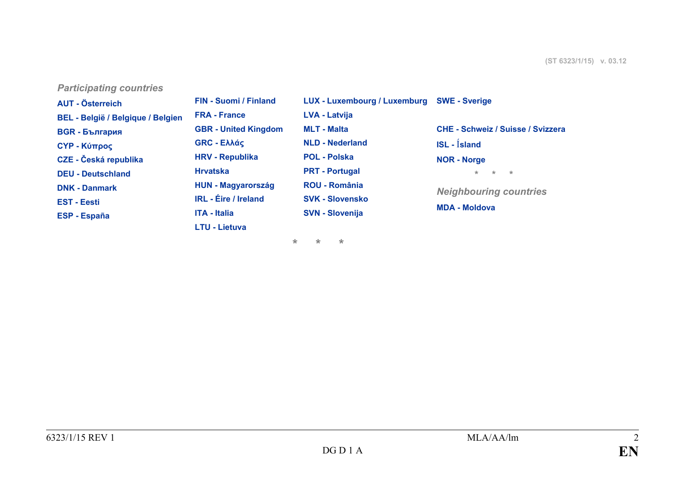*Participating countries*

| <b>AUT - Österreich</b>           | FIN - Suomi / Finland       | LUX - Luxembourg / Luxemburg | <b>SWE - Sverige</b>                     |
|-----------------------------------|-----------------------------|------------------------------|------------------------------------------|
| BEL - België / Belgique / Belgien | <b>FRA - France</b>         | <b>LVA - Latvija</b>         |                                          |
| <b>BGR - България</b>             | <b>GBR</b> - United Kingdom | <b>MLT - Malta</b>           | <b>CHE - Schweiz / Suisse / Svizzera</b> |
| <b>CYP - Κύπρος</b>               | GRC - Ελλάς                 | <b>NLD - Nederland</b>       | $ISL - Ísland$                           |
| <b>CZE - Česká republika</b>      | <b>HRV - Republika</b>      | <b>POL - Polska</b>          | <b>NOR - Norge</b>                       |
| <b>DEU - Deutschland</b>          | <b>Hrvatska</b>             | <b>PRT - Portugal</b>        | $+$<br>$\star$ .<br>$\star$              |
| <b>DNK - Danmark</b>              | <b>HUN - Magyarország</b>   | <b>ROU - România</b>         | <b>Neighbouring countries</b>            |
| <b>EST - Eesti</b>                | <b>IRL</b> - Éire / Ireland | <b>SVK - Slovensko</b>       |                                          |
| <b>ESP - España</b>               | <b>ITA - Italia</b>         | <b>SVN - Slovenija</b>       | <b>MDA - Moldova</b>                     |
|                                   | <b>LTU - Lietuva</b>        |                              |                                          |

**\* \* \***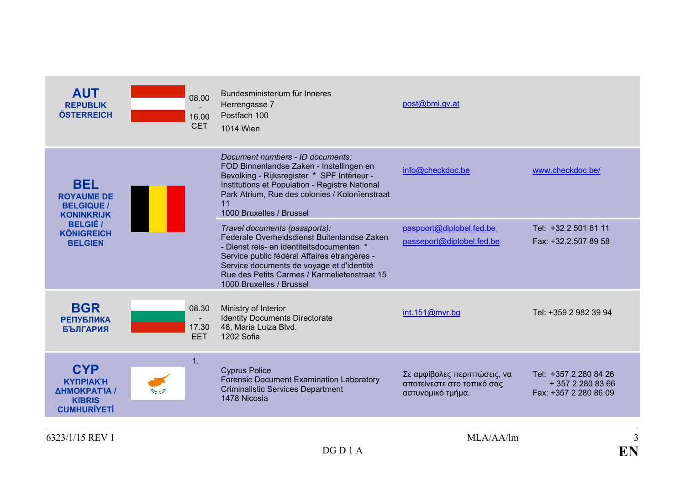<span id="page-2-3"></span><span id="page-2-2"></span><span id="page-2-1"></span><span id="page-2-0"></span>

| <b>AUT</b><br><b>REPUBLIK</b><br><b>ÖSTERREICH</b>                                   | 08.00<br>16.00<br><b>CET</b> | Bundesministerium für Inneres<br>Herrengasse 7<br>Postfach 100<br>1014 Wien                                                                                                                                                                                                                        | post@bmi.gv.at                                                                  |                                                                     |
|--------------------------------------------------------------------------------------|------------------------------|----------------------------------------------------------------------------------------------------------------------------------------------------------------------------------------------------------------------------------------------------------------------------------------------------|---------------------------------------------------------------------------------|---------------------------------------------------------------------|
| <b>BEL</b><br><b>ROYAUME DE</b><br><b>BELGIQUE /</b><br><b>KONINKRIJK</b>            |                              | Document numbers - ID documents:<br>FOD Binnenlandse Zaken - Instellingen en<br>Bevolking - Rijksregister * SPF Intérieur -<br>Institutions et Population - Registre National<br>Park Atrium, Rue des colonies / Kolonïenstraat<br>11<br>1000 Bruxelles / Brussel                                  | info@checkdoc.be                                                                | www.checkdoc.be/                                                    |
| <b>BELGIË /</b><br><b>KÖNIGREICH</b><br><b>BELGIEN</b>                               |                              | Travel documents (passports):<br>Federale Overheidsdienst Buitenlandse Zaken<br>- Dienst reis- en identiteitsdocumenten *<br>Service public fédéral Affaires étrangères -<br>Service documents de voyage et d'identité<br>Rue des Petits Carmes / Karmelietenstraat 15<br>1000 Bruxelles / Brussel | paspoort@diplobel.fed.be<br>passeport@diplobel.fed.be                           | Tel: +32 2 501 81 11<br>Fax: +32.2.507 89 58                        |
| <b>BGR</b><br><b>РЕПУБЛИКА</b><br><b>БЪЛГАРИЯ</b>                                    | 08.30<br>17.30<br><b>EET</b> | Ministry of Interior<br><b>Identity Documents Directorate</b><br>48, Maria Luiza Blvd.<br>1202 Sofia                                                                                                                                                                                               | int.151@mvr.bg                                                                  | Tel: +359 2 982 39 94                                               |
| <b>CYP</b><br><b>KYNPIAKH</b><br>ΔΗΜΟΚΡΑΤΊΑ /<br><b>KIBRIS</b><br><b>CUMHURİYETİ</b> | 1.                           | <b>Cyprus Police</b><br><b>Forensic Document Examination Laboratory</b><br><b>Criminalistic Services Department</b><br>1478 Nicosia                                                                                                                                                                | Σε αμφίβολες περιπτώσεις, να<br>αποτείνεστε στο τοπικό σας<br>αστυνομικό τμήμα. | Tel: +357 2 280 84 26<br>+ 357 2 280 83 66<br>Fax: +357 2 280 86 09 |
| 6323/1/15 REV 1                                                                      |                              |                                                                                                                                                                                                                                                                                                    | MLA/AA/lm                                                                       | 3                                                                   |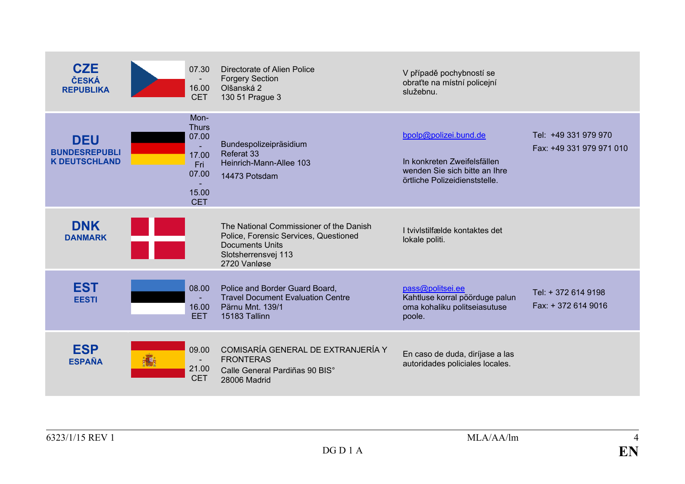<span id="page-3-4"></span><span id="page-3-3"></span><span id="page-3-2"></span><span id="page-3-1"></span><span id="page-3-0"></span>

| <b>CZE</b><br>ČESKÁ<br><b>REPUBLIKA</b>                    | 07.30<br>16.00<br><b>CET</b>                                                  | Directorate of Alien Police<br><b>Forgery Section</b><br>Olšanská 2<br>130 51 Prague 3                                                            | V případě pochybností se<br>obraťte na místní policejní<br>služebnu.                                                   |                                                  |
|------------------------------------------------------------|-------------------------------------------------------------------------------|---------------------------------------------------------------------------------------------------------------------------------------------------|------------------------------------------------------------------------------------------------------------------------|--------------------------------------------------|
| <b>DEU</b><br><b>BUNDESREPUBLI</b><br><b>K DEUTSCHLAND</b> | Mon-<br><b>Thurs</b><br>07.00<br>17.00<br>Fri<br>07.00<br>15.00<br><b>CET</b> | Bundespolizeipräsidium<br>Referat 33<br>Heinrich-Mann-Allee 103<br>14473 Potsdam                                                                  | bpolp@polizei.bund.de<br>In konkreten Zweifelsfällen<br>wenden Sie sich bitte an Ihre<br>örtliche Polizeidienststelle. | Tel: +49 331 979 970<br>Fax: +49 331 979 971 010 |
| <b>DNK</b><br><b>DANMARK</b>                               |                                                                               | The National Commissioner of the Danish<br>Police, Forensic Services, Questioned<br><b>Documents Units</b><br>Slotsherrensvej 113<br>2720 Vanløse | I tvivistilfælde kontaktes det<br>lokale politi.                                                                       |                                                  |
| <b>EST</b><br><b>EESTI</b>                                 | 08.00<br>16.00<br><b>EET</b>                                                  | Police and Border Guard Board,<br><b>Travel Document Evaluation Centre</b><br>Pärnu Mnt. 139/1<br>15183 Tallinn                                   | pass@politsei.ee<br>Kahtluse korral pöörduge palun<br>oma kohaliku politseiasutuse<br>poole.                           | Tel: + 372 614 9198<br>Fax: +372 614 9016        |
| <b>ESP</b><br><b>ESPAÑA</b>                                | 09.00<br>$\blacksquare$<br>21.00<br><b>CET</b>                                | COMISARÍA GENERAL DE EXTRANJERÍA Y<br><b>FRONTERAS</b><br>Calle General Pardiñas 90 BIS°<br>28006 Madrid                                          | En caso de duda, diríjase a las<br>autoridades policiales locales.                                                     |                                                  |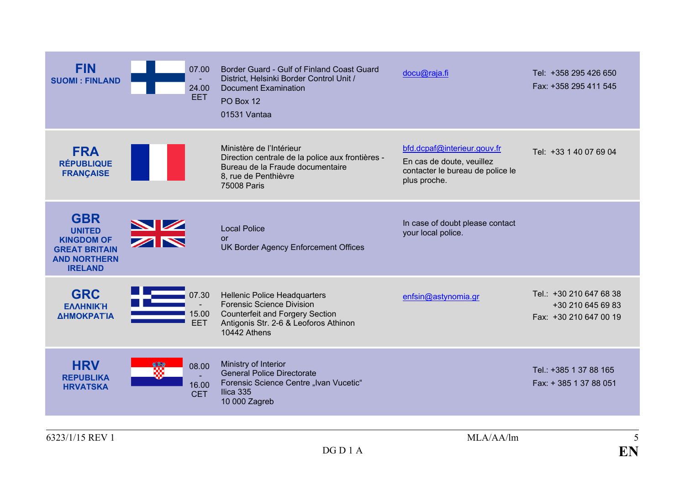<span id="page-4-4"></span><span id="page-4-3"></span><span id="page-4-2"></span><span id="page-4-1"></span><span id="page-4-0"></span>

| <b>FIN</b><br><b>SUOMI: FINLAND</b>                                                                               | 07.00<br>24.00<br><b>EET</b> | Border Guard - Gulf of Finland Coast Guard<br>District, Helsinki Border Control Unit /<br><b>Document Examination</b><br>PO Box 12<br>01531 Vantaa                         | docu@raja.fi                                                                                                 | Tel: +358 295 426 650<br>Fax: +358 295 411 545                         |
|-------------------------------------------------------------------------------------------------------------------|------------------------------|----------------------------------------------------------------------------------------------------------------------------------------------------------------------------|--------------------------------------------------------------------------------------------------------------|------------------------------------------------------------------------|
| <b>FRA</b><br><b>RÉPUBLIQUE</b><br><b>FRANÇAISE</b>                                                               |                              | Ministère de l'Intérieur<br>Direction centrale de la police aux frontières -<br>Bureau de la Fraude documentaire<br>8, rue de Penthièvre<br>75008 Paris                    | bfd.dcpaf@interieur.gouv.fr<br>En cas de doute, veuillez<br>contacter le bureau de police le<br>plus proche. | Tel: +33 1 40 07 69 04                                                 |
| <b>GBR</b><br><b>UNITED</b><br><b>KINGDOM OF</b><br><b>GREAT BRITAIN</b><br><b>AND NORTHERN</b><br><b>IRELAND</b> |                              | <b>Local Police</b><br><b>or</b><br>UK Border Agency Enforcement Offices                                                                                                   | In case of doubt please contact<br>your local police.                                                        |                                                                        |
| <b>GRC</b><br><b>ΕΛΛΗΝΙΚΉ</b><br>ΔΗΜΟΚΡΑΤΙΑ                                                                       | 07.30<br>15.00<br><b>EET</b> | <b>Hellenic Police Headquarters</b><br><b>Forensic Science Division</b><br><b>Counterfeit and Forgery Section</b><br>Antigonis Str. 2-6 & Leoforos Athinon<br>10442 Athens | enfsin@astynomia.gr                                                                                          | Tel.: +30 210 647 68 38<br>+30 210 645 69 83<br>Fax: +30 210 647 00 19 |
| <b>HRV</b><br><b>REPUBLIKA</b><br><b>HRVATSKA</b>                                                                 | 08.00<br>16.00<br><b>CET</b> | Ministry of Interior<br><b>General Police Directorate</b><br>Forensic Science Centre "Ivan Vucetic"<br>Ilica 335<br>10 000 Zagreb                                          |                                                                                                              | Tel.: +385 1 37 88 165<br>Fax: +385 137 88 051                         |
| 6323/1/15 REV 1                                                                                                   |                              | DGD1A                                                                                                                                                                      | MLA/AA/lm                                                                                                    | 5<br>EN                                                                |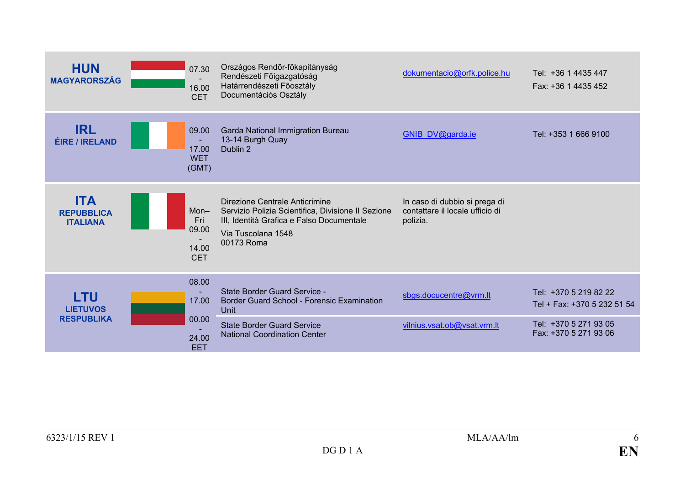<span id="page-5-3"></span><span id="page-5-2"></span><span id="page-5-1"></span><span id="page-5-0"></span>

| <b>HUN</b><br><b>MAGYARORSZÁG</b>                  | 07.30<br>16.00<br><b>CET</b>                    | Országos Rendőr-főkapitányság<br>Rendészeti Főigazgatóság<br>Határrendészeti Főosztály<br>Documentációs Osztály                                                       | dokumentacio@orfk.police.hu                                                  | Tel: +36 1 4435 447<br>Fax: +36 1 4435 452           |
|----------------------------------------------------|-------------------------------------------------|-----------------------------------------------------------------------------------------------------------------------------------------------------------------------|------------------------------------------------------------------------------|------------------------------------------------------|
| <b>IRL</b><br><b>ÉIRE / IRELAND</b>                | 09.00<br>$\sim$<br>17.00<br><b>WET</b><br>(GMT) | Garda National Immigration Bureau<br>13-14 Burgh Quay<br>Dublin 2                                                                                                     | <b>GNIB DV@garda.ie</b>                                                      | Tel: +353 1 666 9100                                 |
| <b>ITA</b><br><b>REPUBBLICA</b><br><b>ITALIANA</b> | $Mon-$<br>Fri<br>09.00<br>14.00<br><b>CET</b>   | Direzione Centrale Anticrimine<br>Servizio Polizia Scientifica, Divisione II Sezione<br>III, Identità Grafica e Falso Documentale<br>Via Tuscolana 1548<br>00173 Roma | In caso di dubbio si prega di<br>contattare il locale ufficio di<br>polizia. |                                                      |
| LTU<br><b>LIETUVOS</b>                             | 08.00<br>17.00                                  | State Border Guard Service -<br>Border Guard School - Forensic Examination<br>Unit                                                                                    | sbgs.docucentre@vrm.lt                                                       | Tel: +370 5 219 82 22<br>Tel + Fax: +370 5 232 51 54 |
| <b>RESPUBLIKA</b>                                  | 00.00<br>24.00<br><b>EET</b>                    | <b>State Border Guard Service</b><br><b>National Coordination Center</b>                                                                                              | vilnius.vsat.ob@vsat.vrm.lt                                                  | Tel: +370 5 271 93 05<br>Fax: +370 5 271 93 06       |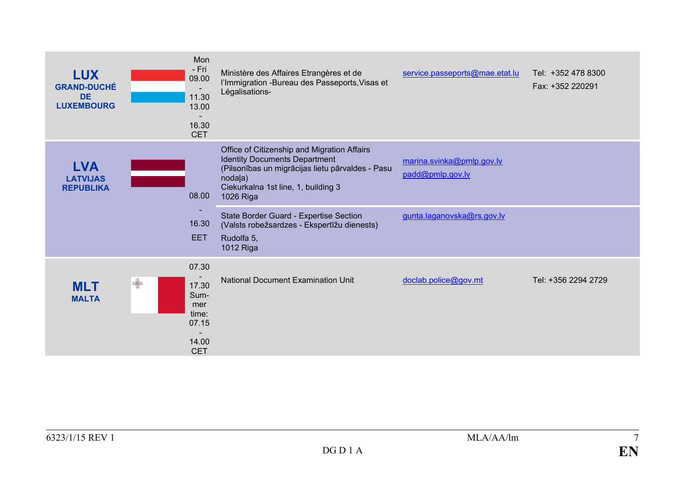<span id="page-6-2"></span><span id="page-6-1"></span><span id="page-6-0"></span>

| <b>LUX</b><br><b>GRAND-DUCHÉ</b><br><b>DE</b><br><b>LUXEMBOURG</b> |               | Mon<br>- Fri<br>09.00<br>11.30<br>13.00<br>16.30<br><b>CET</b>         | Ministère des Affaires Etrangères et de<br>l'Immigration - Bureau des Passeports, Visas et<br>Légalisations-                                                                                                                                                                                                               | service.passeports@mae.etat.lu                                              | Tel: +352 478 8300<br>Fax: +352 220291 |
|--------------------------------------------------------------------|---------------|------------------------------------------------------------------------|----------------------------------------------------------------------------------------------------------------------------------------------------------------------------------------------------------------------------------------------------------------------------------------------------------------------------|-----------------------------------------------------------------------------|----------------------------------------|
| <b>LVA</b><br><b>LATVIJAS</b><br><b>REPUBLIKA</b>                  |               | 08.00<br>16.30<br><b>EET</b>                                           | Office of Citizenship and Migration Affairs<br><b>Identity Documents Department</b><br>(Pilsonības un migrācijas lietu pārvaldes - Pasu<br>nodala)<br>Ciekurkalna 1st line, 1, building 3<br>1026 Riga<br>State Border Guard - Expertise Section<br>(Valsts robežsardzes - Ekspertīžu dienests)<br>Rudolfa 5,<br>1012 Riga | marina.svinka@pmlp.gov.lv<br>padd@pmlp.gov.lv<br>gunta.laganovska@rs.gov.lv |                                        |
| <b>MLT</b><br><b>MALTA</b>                                         | $\rightarrow$ | 07.30<br>17.30<br>Sum-<br>mer<br>time:<br>07.15<br>14.00<br><b>CET</b> | <b>National Document Examination Unit</b>                                                                                                                                                                                                                                                                                  | doclab.police@gov.mt                                                        | Tel: +356 2294 2729                    |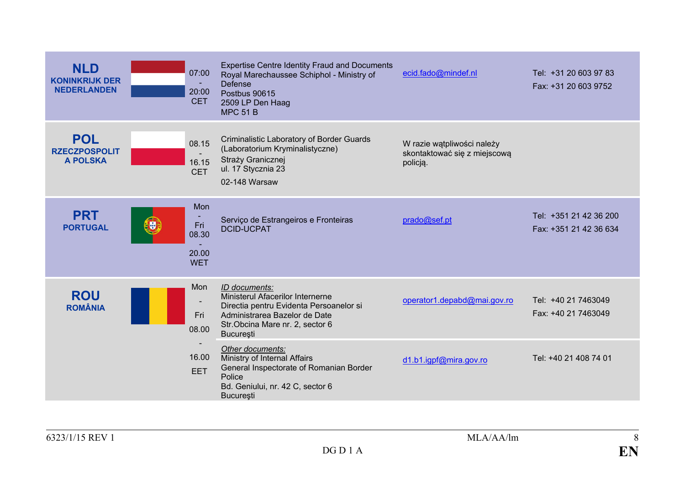<span id="page-7-3"></span><span id="page-7-2"></span><span id="page-7-1"></span><span id="page-7-0"></span>

| <b>NLD</b><br><b>KONINKRIJK DER</b><br><b>NEDERLANDEN</b> | 07:00<br>20:00<br><b>CET</b>                             | <b>Expertise Centre Identity Fraud and Documents</b><br>Royal Marechaussee Schiphol - Ministry of<br><b>Defense</b><br>Postbus 90615<br>2509 LP Den Haag<br><b>MPC 51 B</b>          | ecid.fado@mindef.nl                                                    | Tel: +31 20 603 97 83<br>Fax: +31 20 603 9752    |
|-----------------------------------------------------------|----------------------------------------------------------|--------------------------------------------------------------------------------------------------------------------------------------------------------------------------------------|------------------------------------------------------------------------|--------------------------------------------------|
| <b>POL</b><br><b>RZECZPOSPOLIT</b><br><b>A POLSKA</b>     | 08.15<br>16.15<br><b>CET</b>                             | Criminalistic Laboratory of Border Guards<br>(Laboratorium Kryminalistyczne)<br>Straży Granicznej<br>ul. 17 Stycznia 23<br>02-148 Warsaw                                             | W razie wątpliwości należy<br>skontaktować się z miejscową<br>policją. |                                                  |
| <b>PRT</b><br><b>PORTUGAL</b>                             | Mon<br>Fri<br><b>LOR</b><br>08.30<br>20.00<br><b>WET</b> | Serviço de Estrangeiros e Fronteiras<br><b>DCID-UCPAT</b>                                                                                                                            | prado@sef.pt                                                           | Tel: +351 21 42 36 200<br>Fax: +351 21 42 36 634 |
| <b>ROU</b><br><b>ROMÂNIA</b>                              | Mon<br>Fri<br>08.00                                      | ID documents:<br>Ministerul Afacerilor Internerne<br>Directia pentru Evidenta Persoanelor si<br>Administrarea Bazelor de Date<br>Str.Obcina Mare nr. 2, sector 6<br><b>București</b> | operator1.depabd@mai.gov.ro                                            | Tel: +40 21 7463049<br>Fax: +40 21 7463049       |
|                                                           | 16.00<br><b>EET</b>                                      | Other documents:<br>Ministry of Internal Affairs<br>General Inspectorate of Romanian Border<br>Police<br>Bd. Geniului, nr. 42 C, sector 6<br><b>Bucuresti</b>                        | d1.b1.igpf@mira.gov.ro                                                 | Tel: +40 21 408 74 01                            |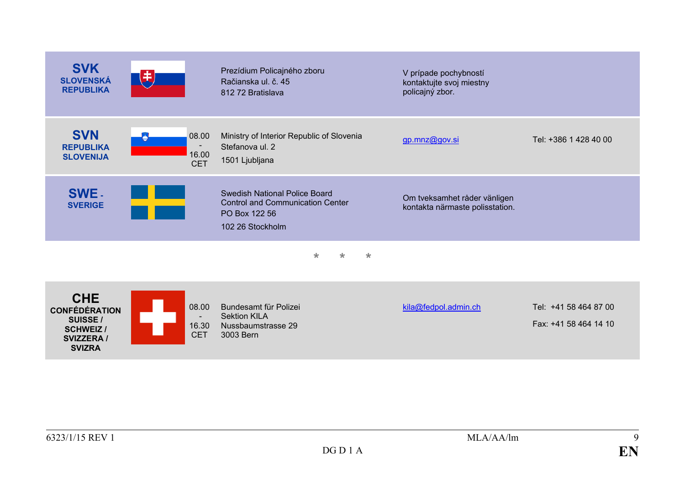<span id="page-8-3"></span><span id="page-8-2"></span><span id="page-8-1"></span><span id="page-8-0"></span>

| <b>SVK</b><br><b>SLOVENSKÁ</b><br><b>REPUBLIKA</b>                                                       |                              | Prezídium Policajného zboru<br>Račianska ul. č. 45<br>812 72 Bratislava                                       | V prípade pochybností<br>kontaktujte svoj miestny<br>policajný zbor. |                                                |
|----------------------------------------------------------------------------------------------------------|------------------------------|---------------------------------------------------------------------------------------------------------------|----------------------------------------------------------------------|------------------------------------------------|
| <b>SVN</b><br><b>REPUBLIKA</b><br><b>SLOVENIJA</b>                                                       | 08.00<br>16.00<br><b>CET</b> | Ministry of Interior Republic of Slovenia<br>Stefanova ul. 2<br>1501 Ljubljana                                | gp.mnz@gov.si                                                        | Tel: +386 1 428 40 00                          |
| SWE -<br><b>SVERIGE</b>                                                                                  |                              | Swedish National Police Board<br><b>Control and Communication Center</b><br>PO Box 122 56<br>102 26 Stockholm | Om tveksamhet råder vänligen<br>kontakta närmaste polisstation.      |                                                |
|                                                                                                          |                              | $\star$<br>$\star$<br>$\star$                                                                                 |                                                                      |                                                |
| <b>CHE</b><br><b>CONFÉDÉRATION</b><br>SUISSE /<br><b>SCHWEIZ</b> /<br><b>SVIZZERA /</b><br><b>SVIZRA</b> | 08.00<br>16.30<br><b>CET</b> | Bundesamt für Polizei<br><b>Sektion KILA</b><br>Nussbaumstrasse 29<br>3003 Bern                               | kila@fedpol.admin.ch                                                 | Tel: +41 58 464 87 00<br>Fax: +41 58 464 14 10 |